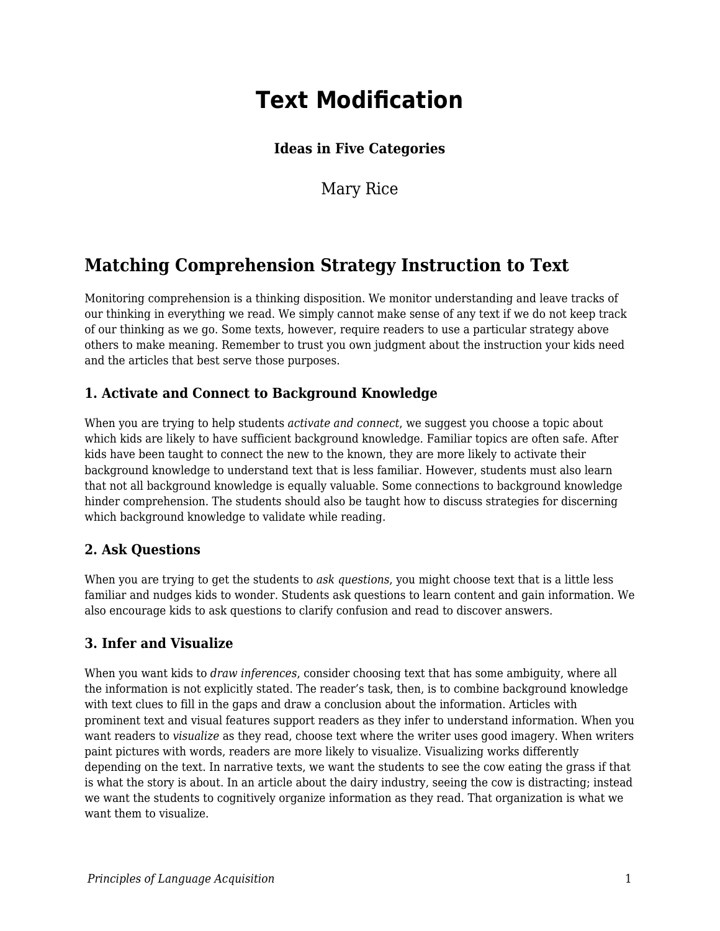# **Text Modification**

## **Ideas in Five Categories**

Mary Rice

## **Matching Comprehension Strategy Instruction to Text**

Monitoring comprehension is a thinking disposition. We monitor understanding and leave tracks of our thinking in everything we read. We simply cannot make sense of any text if we do not keep track of our thinking as we go. Some texts, however, require readers to use a particular strategy above others to make meaning. Remember to trust you own judgment about the instruction your kids need and the articles that best serve those purposes.

### **1. Activate and Connect to Background Knowledge**

When you are trying to help students *activate and connect*, we suggest you choose a topic about which kids are likely to have sufficient background knowledge. Familiar topics are often safe. After kids have been taught to connect the new to the known, they are more likely to activate their background knowledge to understand text that is less familiar. However, students must also learn that not all background knowledge is equally valuable. Some connections to background knowledge hinder comprehension. The students should also be taught how to discuss strategies for discerning which background knowledge to validate while reading.

#### **2. Ask Questions**

When you are trying to get the students to *ask questions*, you might choose text that is a little less familiar and nudges kids to wonder. Students ask questions to learn content and gain information. We also encourage kids to ask questions to clarify confusion and read to discover answers.

#### **3. Infer and Visualize**

When you want kids to *draw inferences*, consider choosing text that has some ambiguity, where all the information is not explicitly stated. The reader's task, then, is to combine background knowledge with text clues to fill in the gaps and draw a conclusion about the information. Articles with prominent text and visual features support readers as they infer to understand information. When you want readers to *visualize* as they read, choose text where the writer uses good imagery. When writers paint pictures with words, readers are more likely to visualize. Visualizing works differently depending on the text. In narrative texts, we want the students to see the cow eating the grass if that is what the story is about. In an article about the dairy industry, seeing the cow is distracting; instead we want the students to cognitively organize information as they read. That organization is what we want them to visualize.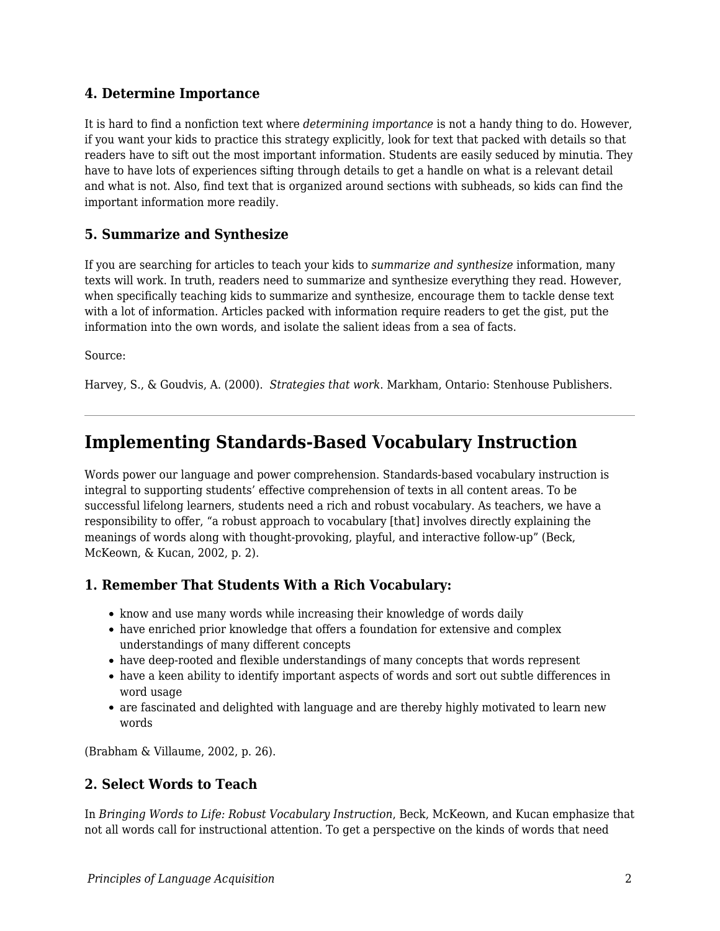#### **4. Determine Importance**

It is hard to find a nonfiction text where *determining importance* is not a handy thing to do. However, if you want your kids to practice this strategy explicitly, look for text that packed with details so that readers have to sift out the most important information. Students are easily seduced by minutia. They have to have lots of experiences sifting through details to get a handle on what is a relevant detail and what is not. Also, find text that is organized around sections with subheads, so kids can find the important information more readily.

#### **5. Summarize and Synthesize**

If you are searching for articles to teach your kids to *summarize and synthesize* information, many texts will work. In truth, readers need to summarize and synthesize everything they read. However, when specifically teaching kids to summarize and synthesize, encourage them to tackle dense text with a lot of information. Articles packed with information require readers to get the gist, put the information into the own words, and isolate the salient ideas from a sea of facts.

Source:

Harvey, S., & Goudvis, A. (2000). *Strategies that work*. Markham, Ontario: Stenhouse Publishers.

## **Implementing Standards-Based Vocabulary Instruction**

Words power our language and power comprehension. Standards-based vocabulary instruction is integral to supporting students' effective comprehension of texts in all content areas. To be successful lifelong learners, students need a rich and robust vocabulary. As teachers, we have a responsibility to offer, "a robust approach to vocabulary [that] involves directly explaining the meanings of words along with thought-provoking, playful, and interactive follow-up" (Beck, McKeown, & Kucan, 2002, p. 2).

### **1. Remember That Students With a Rich Vocabulary:**

- know and use many words while increasing their knowledge of words daily
- have enriched prior knowledge that offers a foundation for extensive and complex understandings of many different concepts
- have deep-rooted and flexible understandings of many concepts that words represent
- have a keen ability to identify important aspects of words and sort out subtle differences in word usage
- are fascinated and delighted with language and are thereby highly motivated to learn new words

(Brabham & Villaume, 2002, p. 26).

### **2. Select Words to Teach**

In *Bringing Words to Life: Robust Vocabulary Instruction*, Beck, McKeown, and Kucan emphasize that not all words call for instructional attention. To get a perspective on the kinds of words that need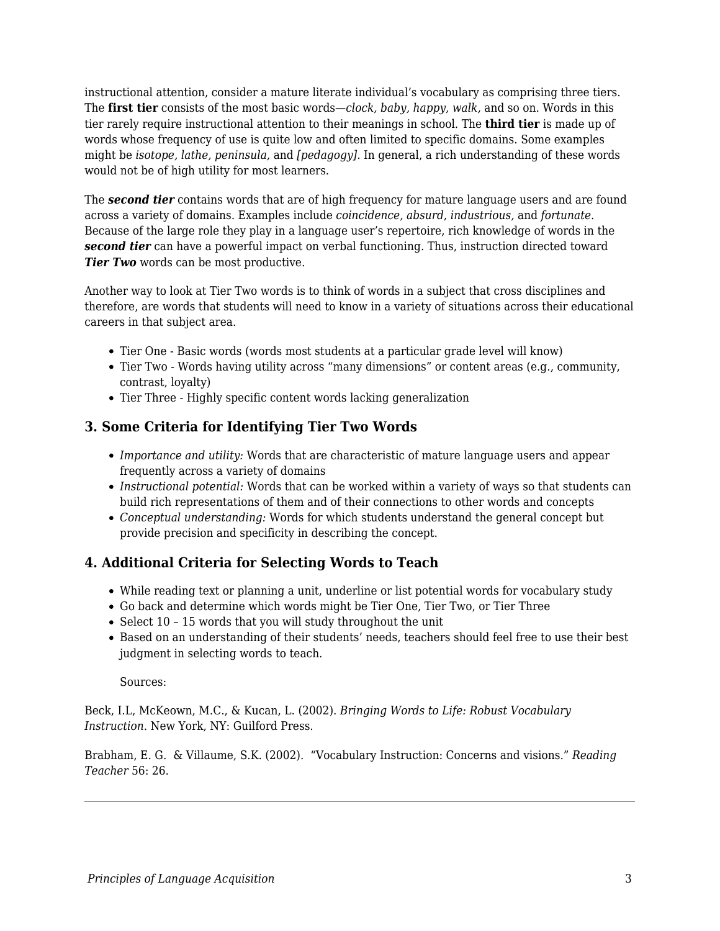instructional attention, consider a mature literate individual's vocabulary as comprising three tiers. The **first tier** consists of the most basic words—*clock, baby, happy, walk,* and so on. Words in this tier rarely require instructional attention to their meanings in school. The **third tier** is made up of words whose frequency of use is quite low and often limited to specific domains. Some examples might be *isotope, lathe, peninsula,* and *[pedagogy]*. In general, a rich understanding of these words would not be of high utility for most learners.

The *second tier* contains words that are of high frequency for mature language users and are found across a variety of domains. Examples include *coincidence, absurd, industrious,* and *fortunate*. Because of the large role they play in a language user's repertoire, rich knowledge of words in the *second tier* can have a powerful impact on verbal functioning. Thus, instruction directed toward *Tier Two* words can be most productive.

Another way to look at Tier Two words is to think of words in a subject that cross disciplines and therefore, are words that students will need to know in a variety of situations across their educational careers in that subject area.

- Tier One Basic words (words most students at a particular grade level will know)
- Tier Two Words having utility across "many dimensions" or content areas (e.g., community, contrast, loyalty)
- Tier Three Highly specific content words lacking generalization

### **3. Some Criteria for Identifying Tier Two Words**

- *Importance and utility:* Words that are characteristic of mature language users and appear frequently across a variety of domains
- *Instructional potential:* Words that can be worked within a variety of ways so that students can build rich representations of them and of their connections to other words and concepts
- *Conceptual understanding:* Words for which students understand the general concept but provide precision and specificity in describing the concept.

### **4. Additional Criteria for Selecting Words to Teach**

- While reading text or planning a unit, underline or list potential words for vocabulary study
- Go back and determine which words might be Tier One, Tier Two, or Tier Three
- $\bullet$  Select 10 15 words that you will study throughout the unit
- Based on an understanding of their students' needs, teachers should feel free to use their best judgment in selecting words to teach.

#### Sources:

Beck, I.L, McKeown, M.C., & Kucan, L. (2002). *Bringing Words to Life: Robust Vocabulary Instruction*. New York, NY: Guilford Press.

Brabham, E. G. & Villaume, S.K. (2002). "Vocabulary Instruction: Concerns and visions." *Reading Teacher* 56: 26.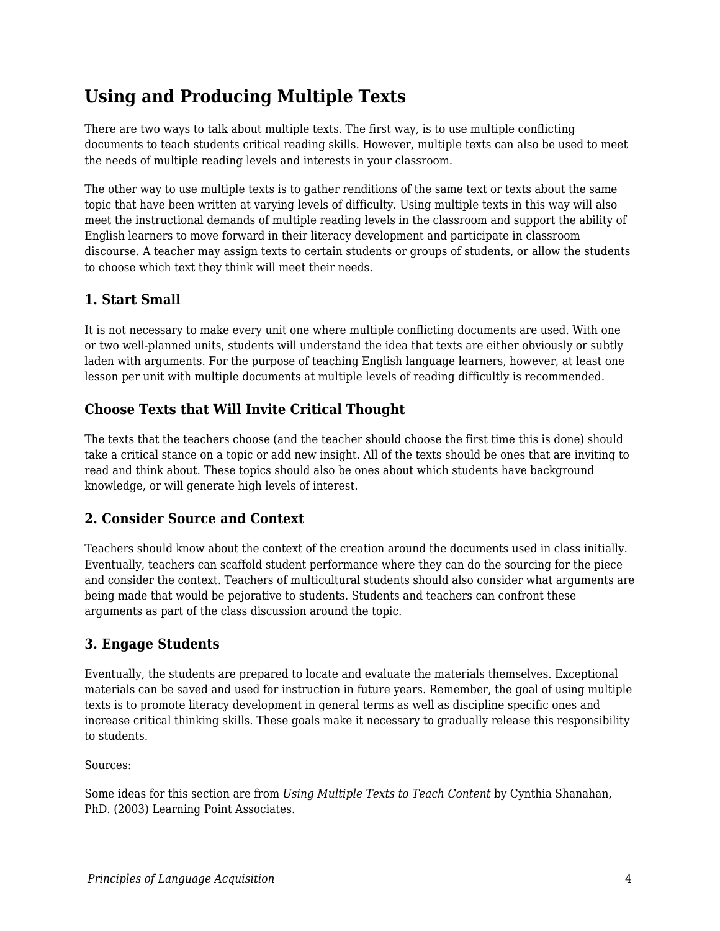## **Using and Producing Multiple Texts**

There are two ways to talk about multiple texts. The first way, is to use multiple conflicting documents to teach students critical reading skills. However, multiple texts can also be used to meet the needs of multiple reading levels and interests in your classroom.

The other way to use multiple texts is to gather renditions of the same text or texts about the same topic that have been written at varying levels of difficulty. Using multiple texts in this way will also meet the instructional demands of multiple reading levels in the classroom and support the ability of English learners to move forward in their literacy development and participate in classroom discourse. A teacher may assign texts to certain students or groups of students, or allow the students to choose which text they think will meet their needs.

## **1. Start Small**

It is not necessary to make every unit one where multiple conflicting documents are used. With one or two well-planned units, students will understand the idea that texts are either obviously or subtly laden with arguments. For the purpose of teaching English language learners, however, at least one lesson per unit with multiple documents at multiple levels of reading difficultly is recommended.

### **Choose Texts that Will Invite Critical Thought**

The texts that the teachers choose (and the teacher should choose the first time this is done) should take a critical stance on a topic or add new insight. All of the texts should be ones that are inviting to read and think about. These topics should also be ones about which students have background knowledge, or will generate high levels of interest.

### **2. Consider Source and Context**

Teachers should know about the context of the creation around the documents used in class initially. Eventually, teachers can scaffold student performance where they can do the sourcing for the piece and consider the context. Teachers of multicultural students should also consider what arguments are being made that would be pejorative to students. Students and teachers can confront these arguments as part of the class discussion around the topic.

### **3. Engage Students**

Eventually, the students are prepared to locate and evaluate the materials themselves. Exceptional materials can be saved and used for instruction in future years. Remember, the goal of using multiple texts is to promote literacy development in general terms as well as discipline specific ones and increase critical thinking skills. These goals make it necessary to gradually release this responsibility to students.

Sources:

Some ideas for this section are from *Using Multiple Texts to Teach Content* by Cynthia Shanahan, PhD. (2003) Learning Point Associates.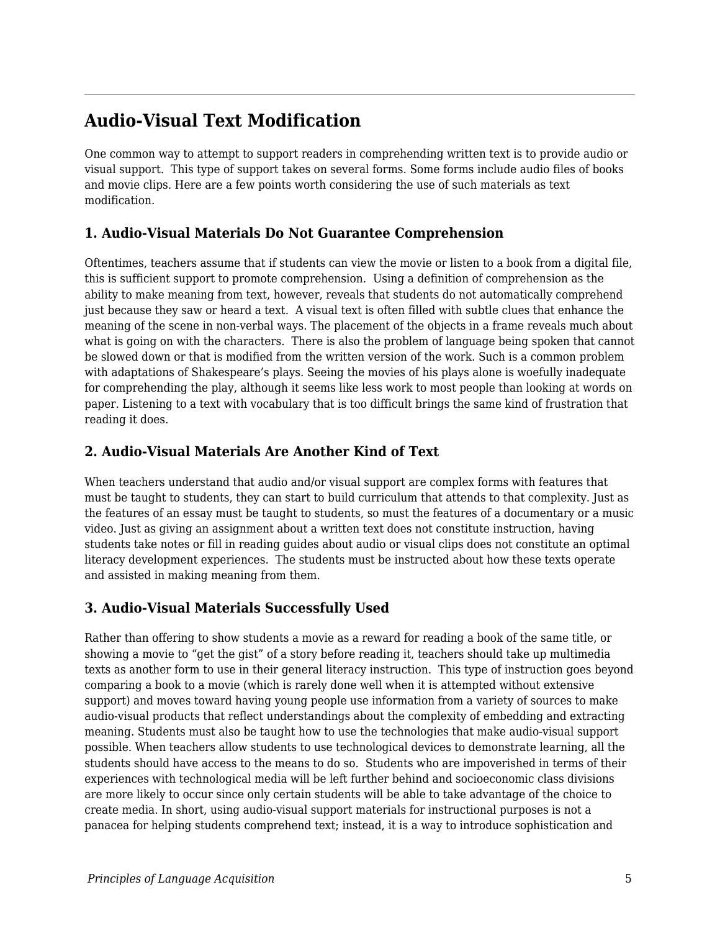## **Audio-Visual Text Modification**

One common way to attempt to support readers in comprehending written text is to provide audio or visual support. This type of support takes on several forms. Some forms include audio files of books and movie clips. Here are a few points worth considering the use of such materials as text modification.

### **1. Audio-Visual Materials Do Not Guarantee Comprehension**

Oftentimes, teachers assume that if students can view the movie or listen to a book from a digital file, this is sufficient support to promote comprehension. Using a definition of comprehension as the ability to make meaning from text, however, reveals that students do not automatically comprehend just because they saw or heard a text. A visual text is often filled with subtle clues that enhance the meaning of the scene in non-verbal ways. The placement of the objects in a frame reveals much about what is going on with the characters. There is also the problem of language being spoken that cannot be slowed down or that is modified from the written version of the work. Such is a common problem with adaptations of Shakespeare's plays. Seeing the movies of his plays alone is woefully inadequate for comprehending the play, although it seems like less work to most people than looking at words on paper. Listening to a text with vocabulary that is too difficult brings the same kind of frustration that reading it does.

### **2. Audio-Visual Materials Are Another Kind of Text**

When teachers understand that audio and/or visual support are complex forms with features that must be taught to students, they can start to build curriculum that attends to that complexity. Just as the features of an essay must be taught to students, so must the features of a documentary or a music video. Just as giving an assignment about a written text does not constitute instruction, having students take notes or fill in reading guides about audio or visual clips does not constitute an optimal literacy development experiences. The students must be instructed about how these texts operate and assisted in making meaning from them.

## **3. Audio-Visual Materials Successfully Used**

Rather than offering to show students a movie as a reward for reading a book of the same title, or showing a movie to "get the gist" of a story before reading it, teachers should take up multimedia texts as another form to use in their general literacy instruction. This type of instruction goes beyond comparing a book to a movie (which is rarely done well when it is attempted without extensive support) and moves toward having young people use information from a variety of sources to make audio-visual products that reflect understandings about the complexity of embedding and extracting meaning. Students must also be taught how to use the technologies that make audio-visual support possible. When teachers allow students to use technological devices to demonstrate learning, all the students should have access to the means to do so. Students who are impoverished in terms of their experiences with technological media will be left further behind and socioeconomic class divisions are more likely to occur since only certain students will be able to take advantage of the choice to create media. In short, using audio-visual support materials for instructional purposes is not a panacea for helping students comprehend text; instead, it is a way to introduce sophistication and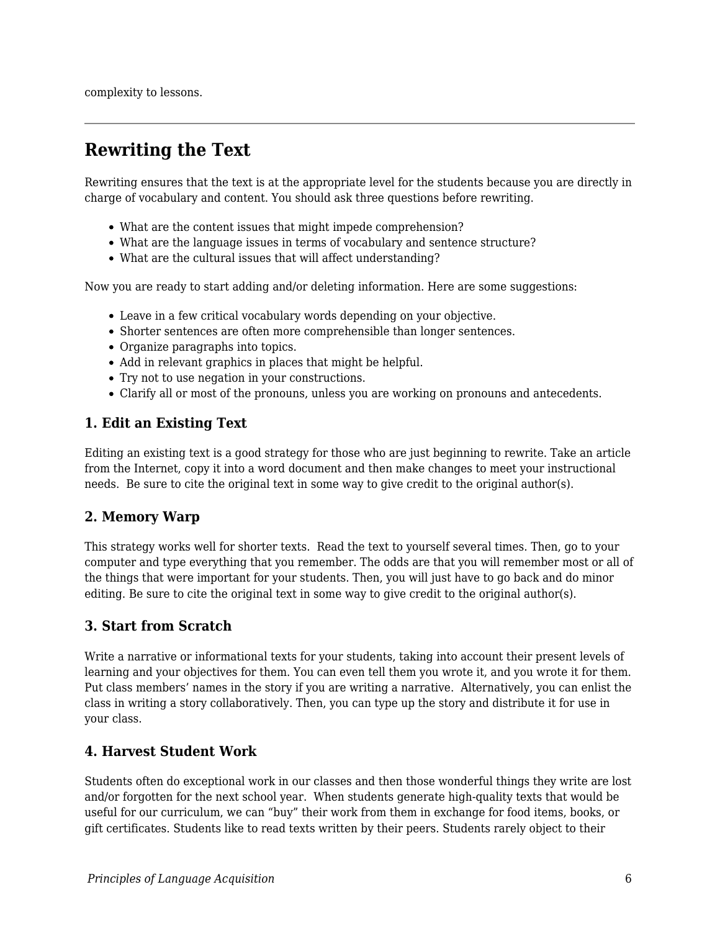complexity to lessons.

## **Rewriting the Text**

Rewriting ensures that the text is at the appropriate level for the students because you are directly in charge of vocabulary and content. You should ask three questions before rewriting.

- What are the content issues that might impede comprehension?
- What are the language issues in terms of vocabulary and sentence structure?
- What are the cultural issues that will affect understanding?

Now you are ready to start adding and/or deleting information. Here are some suggestions:

- Leave in a few critical vocabulary words depending on your objective.
- Shorter sentences are often more comprehensible than longer sentences.
- Organize paragraphs into topics.
- Add in relevant graphics in places that might be helpful.
- Try not to use negation in your constructions.
- Clarify all or most of the pronouns, unless you are working on pronouns and antecedents.

#### **1. Edit an Existing Text**

Editing an existing text is a good strategy for those who are just beginning to rewrite. Take an article from the Internet, copy it into a word document and then make changes to meet your instructional needs. Be sure to cite the original text in some way to give credit to the original author(s).

### **2. Memory Warp**

This strategy works well for shorter texts. Read the text to yourself several times. Then, go to your computer and type everything that you remember. The odds are that you will remember most or all of the things that were important for your students. Then, you will just have to go back and do minor editing. Be sure to cite the original text in some way to give credit to the original author(s).

### **3. Start from Scratch**

Write a narrative or informational texts for your students, taking into account their present levels of learning and your objectives for them. You can even tell them you wrote it, and you wrote it for them. Put class members' names in the story if you are writing a narrative. Alternatively, you can enlist the class in writing a story collaboratively. Then, you can type up the story and distribute it for use in your class.

#### **4. Harvest Student Work**

Students often do exceptional work in our classes and then those wonderful things they write are lost and/or forgotten for the next school year. When students generate high-quality texts that would be useful for our curriculum, we can "buy" their work from them in exchange for food items, books, or gift certificates. Students like to read texts written by their peers. Students rarely object to their